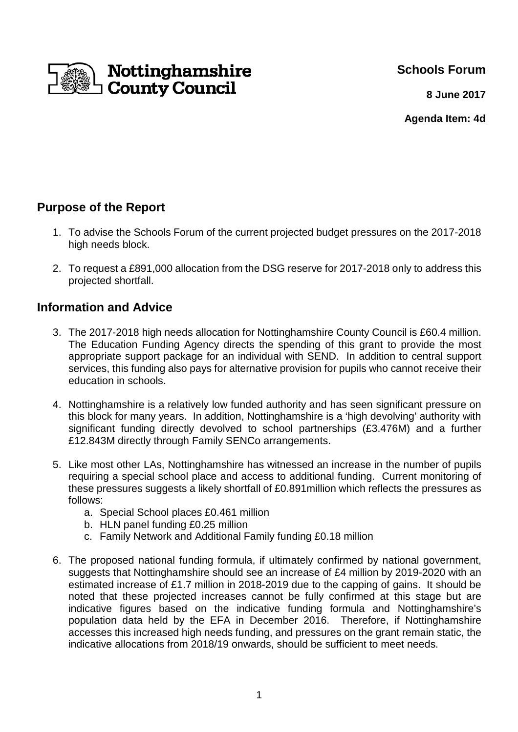**Schools Forum**



**8 June 2017**

**Agenda Item: 4d**

# **Purpose of the Report**

- 1. To advise the Schools Forum of the current projected budget pressures on the 2017-2018 high needs block.
- 2. To request a £891,000 allocation from the DSG reserve for 2017-2018 only to address this projected shortfall.

## **Information and Advice**

- 3. The 2017-2018 high needs allocation for Nottinghamshire County Council is £60.4 million. The Education Funding Agency directs the spending of this grant to provide the most appropriate support package for an individual with SEND. In addition to central support services, this funding also pays for alternative provision for pupils who cannot receive their education in schools.
- 4. Nottinghamshire is a relatively low funded authority and has seen significant pressure on this block for many years. In addition, Nottinghamshire is a 'high devolving' authority with significant funding directly devolved to school partnerships (£3.476M) and a further £12.843M directly through Family SENCo arrangements.
- 5. Like most other LAs, Nottinghamshire has witnessed an increase in the number of pupils requiring a special school place and access to additional funding. Current monitoring of these pressures suggests a likely shortfall of £0.891million which reflects the pressures as follows:
	- a. Special School places £0.461 million
	- b. HLN panel funding £0.25 million
	- c. Family Network and Additional Family funding £0.18 million
- 6. The proposed national funding formula, if ultimately confirmed by national government, suggests that Nottinghamshire should see an increase of £4 million by 2019-2020 with an estimated increase of £1.7 million in 2018-2019 due to the capping of gains. It should be noted that these projected increases cannot be fully confirmed at this stage but are indicative figures based on the indicative funding formula and Nottinghamshire's population data held by the EFA in December 2016. Therefore, if Nottinghamshire accesses this increased high needs funding, and pressures on the grant remain static, the indicative allocations from 2018/19 onwards, should be sufficient to meet needs.